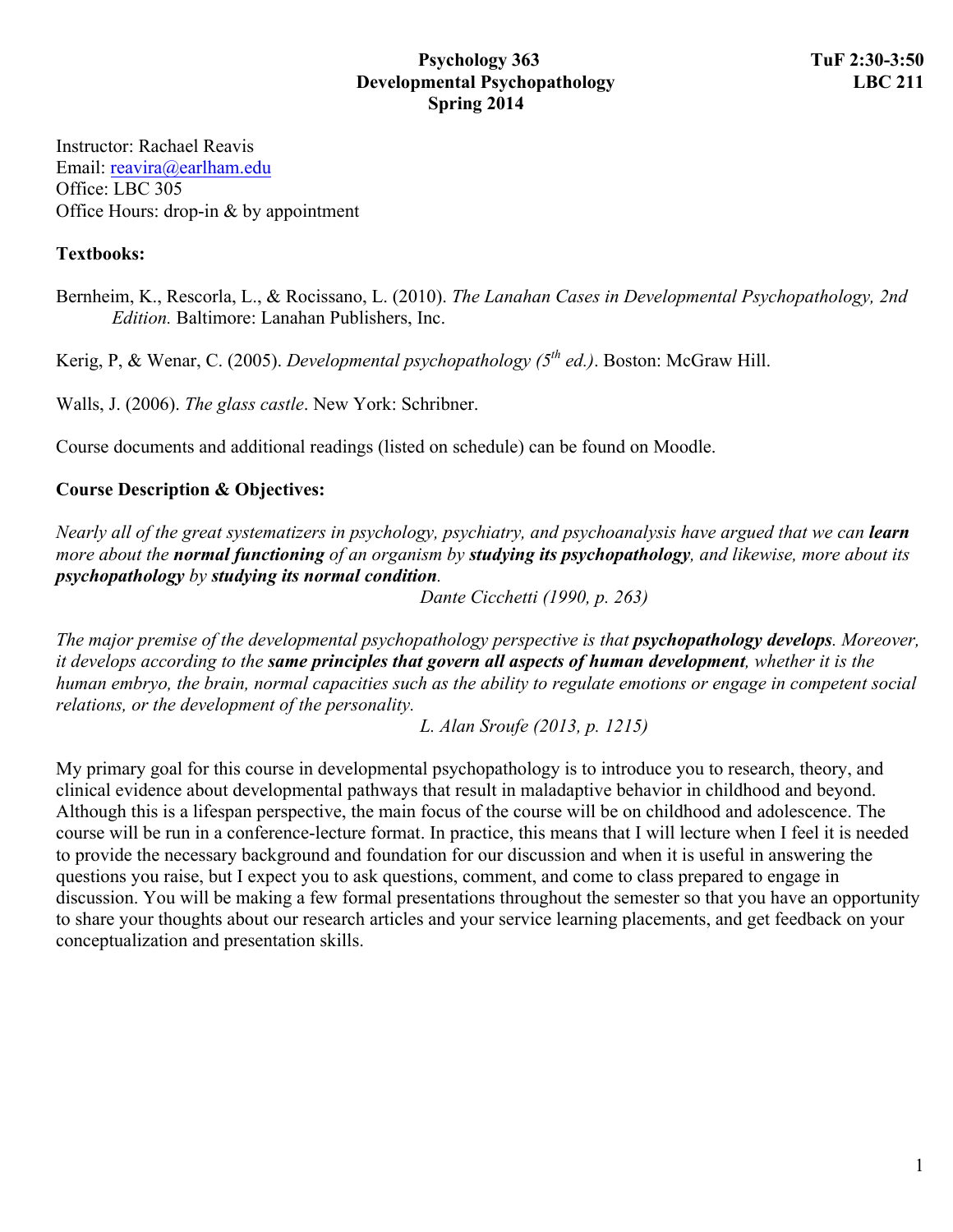### **Psychology 363** TuF 2:30-3:50 **Developmental Psychopathology** LBC 211 **Spring 2014**

Instructor: Rachael Reavis Email: reavira@earlham.edu Office: LBC 305 Office Hours: drop-in & by appointment

### **Textbooks:**

Bernheim, K., Rescorla, L., & Rocissano, L. (2010). *The Lanahan Cases in Developmental Psychopathology, 2nd Edition.* Baltimore: Lanahan Publishers, Inc.

Kerig, P, & Wenar, C. (2005). *Developmental psychopathology (5th ed.)*. Boston: McGraw Hill.

Walls, J. (2006). *The glass castle*. New York: Schribner.

Course documents and additional readings (listed on schedule) can be found on Moodle.

## **Course Description & Objectives:**

*Nearly all of the great systematizers in psychology, psychiatry, and psychoanalysis have argued that we can <i>learn more about the normal functioning of an organism by studying its psychopathology, and likewise, more about its psychopathology by studying its normal condition.*

*Dante Cicchetti (1990, p. 263)*

*The major premise of the developmental psychopathology perspective is that <i>psychopathology develops*. Moreover, *it develops according to the same principles that govern all aspects of human development, whether it is the human embryo, the brain, normal capacities such as the ability to regulate emotions or engage in competent social relations, or the development of the personality.*

*L. Alan Sroufe (2013, p. 1215)*

My primary goal for this course in developmental psychopathology is to introduce you to research, theory, and clinical evidence about developmental pathways that result in maladaptive behavior in childhood and beyond. Although this is a lifespan perspective, the main focus of the course will be on childhood and adolescence. The course will be run in a conference-lecture format. In practice, this means that I will lecture when I feel it is needed to provide the necessary background and foundation for our discussion and when it is useful in answering the questions you raise, but I expect you to ask questions, comment, and come to class prepared to engage in discussion. You will be making a few formal presentations throughout the semester so that you have an opportunity to share your thoughts about our research articles and your service learning placements, and get feedback on your conceptualization and presentation skills.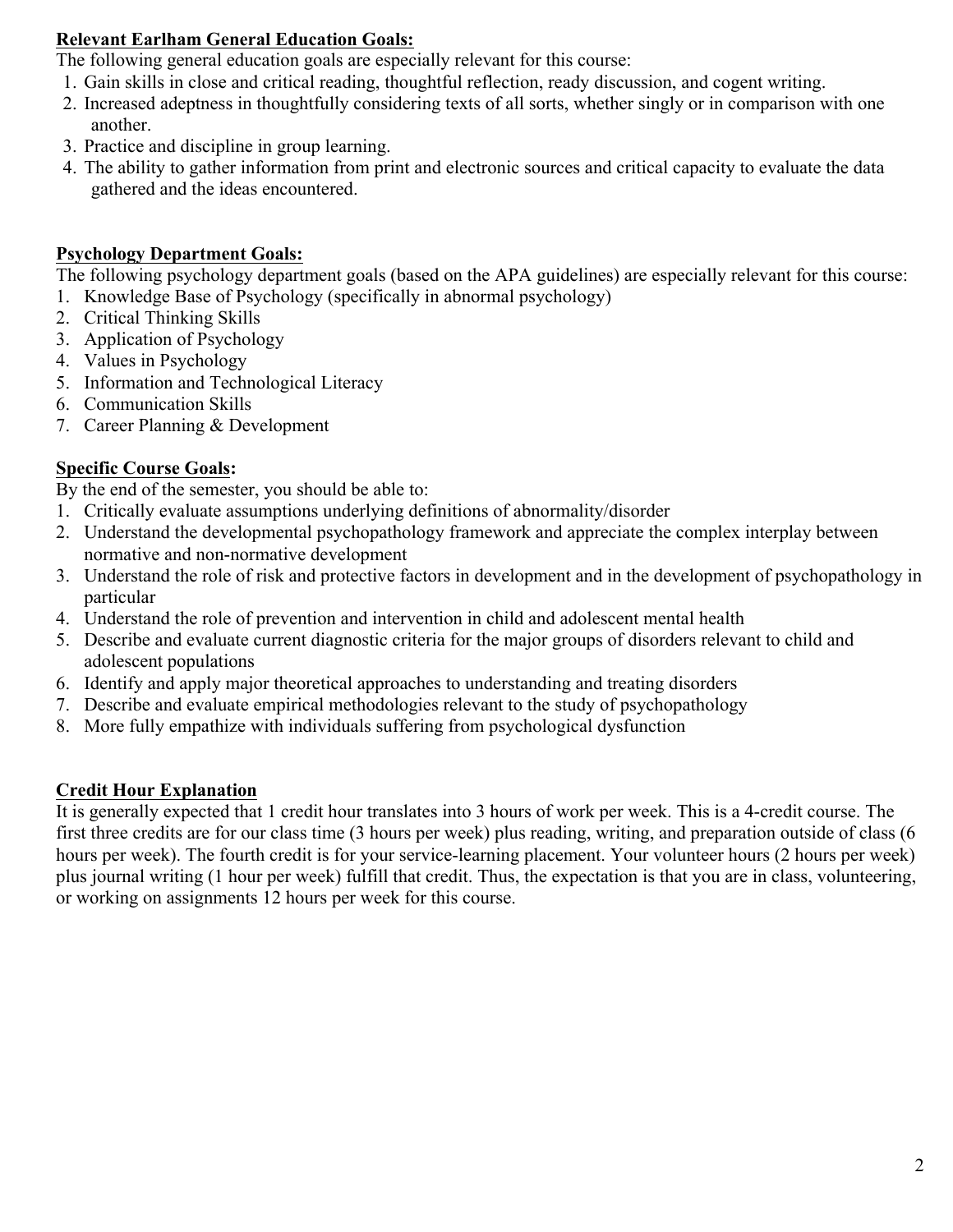## **Relevant Earlham General Education Goals:**

The following general education goals are especially relevant for this course:

- 1. Gain skills in close and critical reading, thoughtful reflection, ready discussion, and cogent writing.
- 2. Increased adeptness in thoughtfully considering texts of all sorts, whether singly or in comparison with one another.
- 3. Practice and discipline in group learning.
- 4. The ability to gather information from print and electronic sources and critical capacity to evaluate the data gathered and the ideas encountered.

# **Psychology Department Goals:**

The following psychology department goals (based on the APA guidelines) are especially relevant for this course:

- 1. Knowledge Base of Psychology (specifically in abnormal psychology)
- 2. Critical Thinking Skills
- 3. Application of Psychology
- 4. Values in Psychology
- 5. Information and Technological Literacy
- 6. Communication Skills
- 7. Career Planning & Development

# **Specific Course Goals:**

By the end of the semester, you should be able to:

- 1. Critically evaluate assumptions underlying definitions of abnormality/disorder
- 2. Understand the developmental psychopathology framework and appreciate the complex interplay between normative and non-normative development
- 3. Understand the role of risk and protective factors in development and in the development of psychopathology in particular
- 4. Understand the role of prevention and intervention in child and adolescent mental health
- 5. Describe and evaluate current diagnostic criteria for the major groups of disorders relevant to child and adolescent populations
- 6. Identify and apply major theoretical approaches to understanding and treating disorders
- 7. Describe and evaluate empirical methodologies relevant to the study of psychopathology
- 8. More fully empathize with individuals suffering from psychological dysfunction

# **Credit Hour Explanation**

It is generally expected that 1 credit hour translates into 3 hours of work per week. This is a 4-credit course. The first three credits are for our class time (3 hours per week) plus reading, writing, and preparation outside of class (6 hours per week). The fourth credit is for your service-learning placement. Your volunteer hours (2 hours per week) plus journal writing (1 hour per week) fulfill that credit. Thus, the expectation is that you are in class, volunteering, or working on assignments 12 hours per week for this course.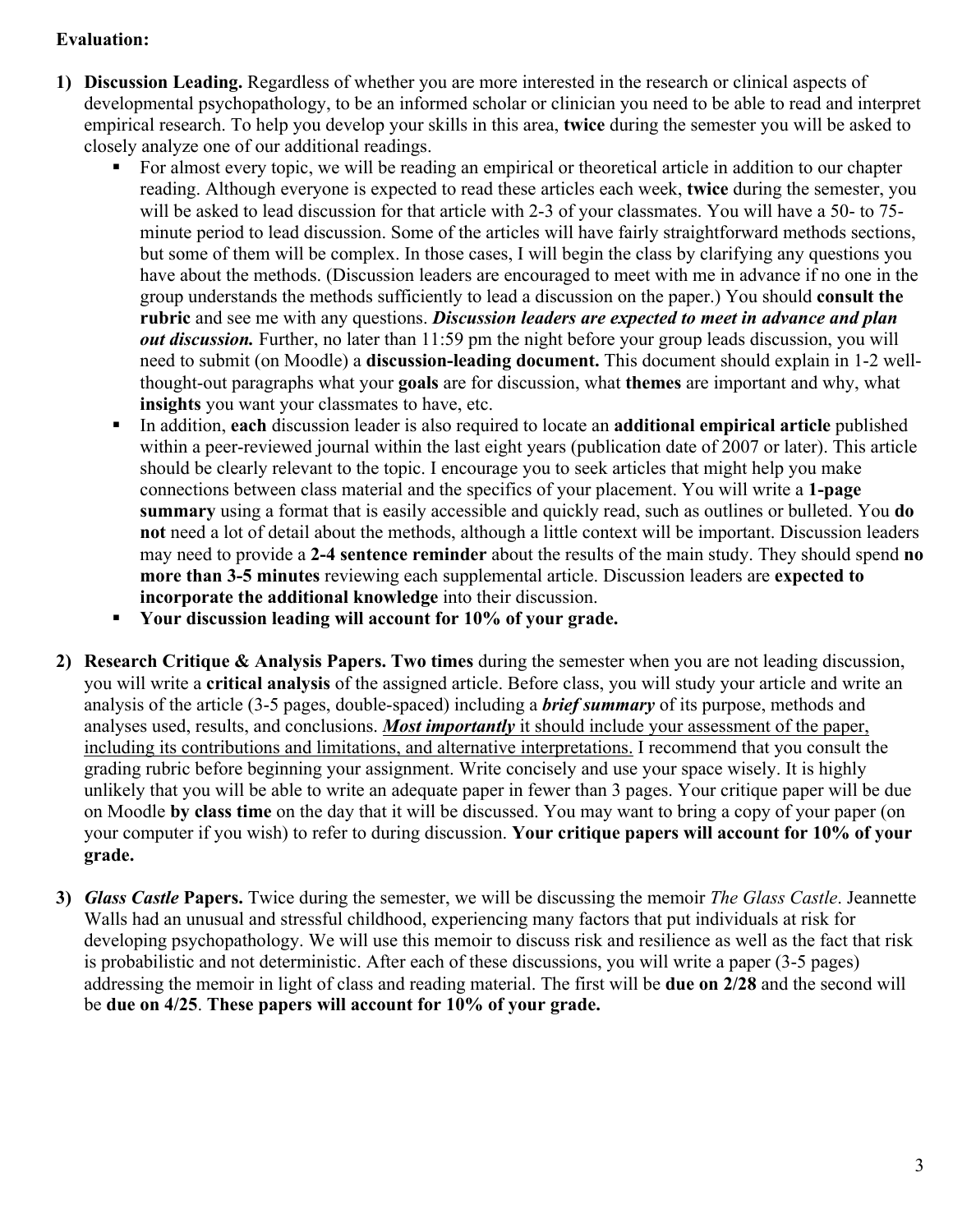# **Evaluation:**

- **1) Discussion Leading.** Regardless of whether you are more interested in the research or clinical aspects of developmental psychopathology, to be an informed scholar or clinician you need to be able to read and interpret empirical research. To help you develop your skills in this area, **twice** during the semester you will be asked to closely analyze one of our additional readings.
	- For almost every topic, we will be reading an empirical or theoretical article in addition to our chapter reading. Although everyone is expected to read these articles each week, **twice** during the semester, you will be asked to lead discussion for that article with 2-3 of your classmates. You will have a 50- to 75 minute period to lead discussion. Some of the articles will have fairly straightforward methods sections, but some of them will be complex. In those cases, I will begin the class by clarifying any questions you have about the methods. (Discussion leaders are encouraged to meet with me in advance if no one in the group understands the methods sufficiently to lead a discussion on the paper.) You should **consult the rubric** and see me with any questions. *Discussion leaders are expected to meet in advance and plan out discussion.* Further, no later than 11:59 pm the night before your group leads discussion, you will need to submit (on Moodle) a **discussion-leading document.** This document should explain in 1-2 wellthought-out paragraphs what your **goals** are for discussion, what **themes** are important and why, what **insights** you want your classmates to have, etc.
	- § In addition, **each** discussion leader is also required to locate an **additional empirical article** published within a peer-reviewed journal within the last eight years (publication date of 2007 or later). This article should be clearly relevant to the topic. I encourage you to seek articles that might help you make connections between class material and the specifics of your placement. You will write a **1-page summary** using a format that is easily accessible and quickly read, such as outlines or bulleted. You **do not** need a lot of detail about the methods, although a little context will be important. Discussion leaders may need to provide a **2-4 sentence reminder** about the results of the main study. They should spend **no more than 3-5 minutes** reviewing each supplemental article. Discussion leaders are **expected to incorporate the additional knowledge** into their discussion.
	- § **Your discussion leading will account for 10% of your grade.**
- **2) Research Critique & Analysis Papers. Two times** during the semester when you are not leading discussion, you will write a **critical analysis** of the assigned article. Before class, you will study your article and write an analysis of the article (3-5 pages, double-spaced) including a *brief summary* of its purpose, methods and analyses used, results, and conclusions. *Most importantly* it should include your assessment of the paper, including its contributions and limitations, and alternative interpretations. I recommend that you consult the grading rubric before beginning your assignment. Write concisely and use your space wisely. It is highly unlikely that you will be able to write an adequate paper in fewer than 3 pages. Your critique paper will be due on Moodle **by class time** on the day that it will be discussed. You may want to bring a copy of your paper (on your computer if you wish) to refer to during discussion. **Your critique papers will account for 10% of your grade.**
- **3)** *Glass Castle* **Papers.** Twice during the semester, we will be discussing the memoir *The Glass Castle*. Jeannette Walls had an unusual and stressful childhood, experiencing many factors that put individuals at risk for developing psychopathology. We will use this memoir to discuss risk and resilience as well as the fact that risk is probabilistic and not deterministic. After each of these discussions, you will write a paper (3-5 pages) addressing the memoir in light of class and reading material. The first will be **due on 2/28** and the second will be **due on 4/25**. **These papers will account for 10% of your grade.**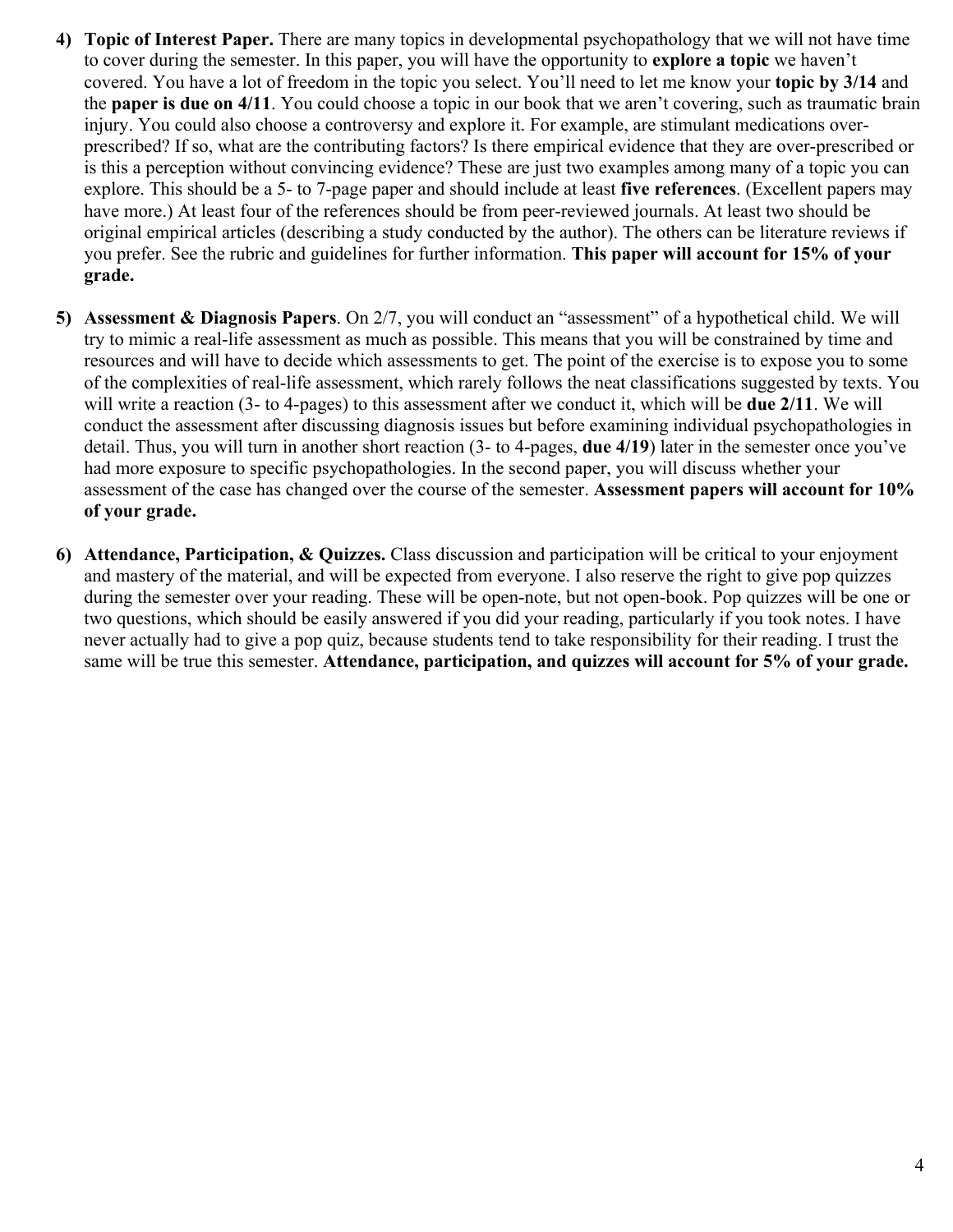- **4) Topic of Interest Paper.** There are many topics in developmental psychopathology that we will not have time to cover during the semester. In this paper, you will have the opportunity to **explore a topic** we haven't covered. You have a lot of freedom in the topic you select. You'll need to let me know your **topic by 3/14** and the **paper is due on 4/11**. You could choose a topic in our book that we aren't covering, such as traumatic brain injury. You could also choose a controversy and explore it. For example, are stimulant medications overprescribed? If so, what are the contributing factors? Is there empirical evidence that they are over-prescribed or is this a perception without convincing evidence? These are just two examples among many of a topic you can explore. This should be a 5- to 7-page paper and should include at least **five references**. (Excellent papers may have more.) At least four of the references should be from peer-reviewed journals. At least two should be original empirical articles (describing a study conducted by the author). The others can be literature reviews if you prefer. See the rubric and guidelines for further information. **This paper will account for 15% of your grade.**
- **5) Assessment & Diagnosis Papers**. On 2/7, you will conduct an "assessment" of a hypothetical child. We will try to mimic a real-life assessment as much as possible. This means that you will be constrained by time and resources and will have to decide which assessments to get. The point of the exercise is to expose you to some of the complexities of real-life assessment, which rarely follows the neat classifications suggested by texts. You will write a reaction (3- to 4-pages) to this assessment after we conduct it, which will be **due 2/11**. We will conduct the assessment after discussing diagnosis issues but before examining individual psychopathologies in detail. Thus, you will turn in another short reaction (3- to 4-pages, **due 4/19**) later in the semester once you've had more exposure to specific psychopathologies. In the second paper, you will discuss whether your assessment of the case has changed over the course of the semester. **Assessment papers will account for 10% of your grade.**
- **6) Attendance, Participation, & Quizzes.** Class discussion and participation will be critical to your enjoyment and mastery of the material, and will be expected from everyone. I also reserve the right to give pop quizzes during the semester over your reading. These will be open-note, but not open-book. Pop quizzes will be one or two questions, which should be easily answered if you did your reading, particularly if you took notes. I have never actually had to give a pop quiz, because students tend to take responsibility for their reading. I trust the same will be true this semester. **Attendance, participation, and quizzes will account for 5% of your grade.**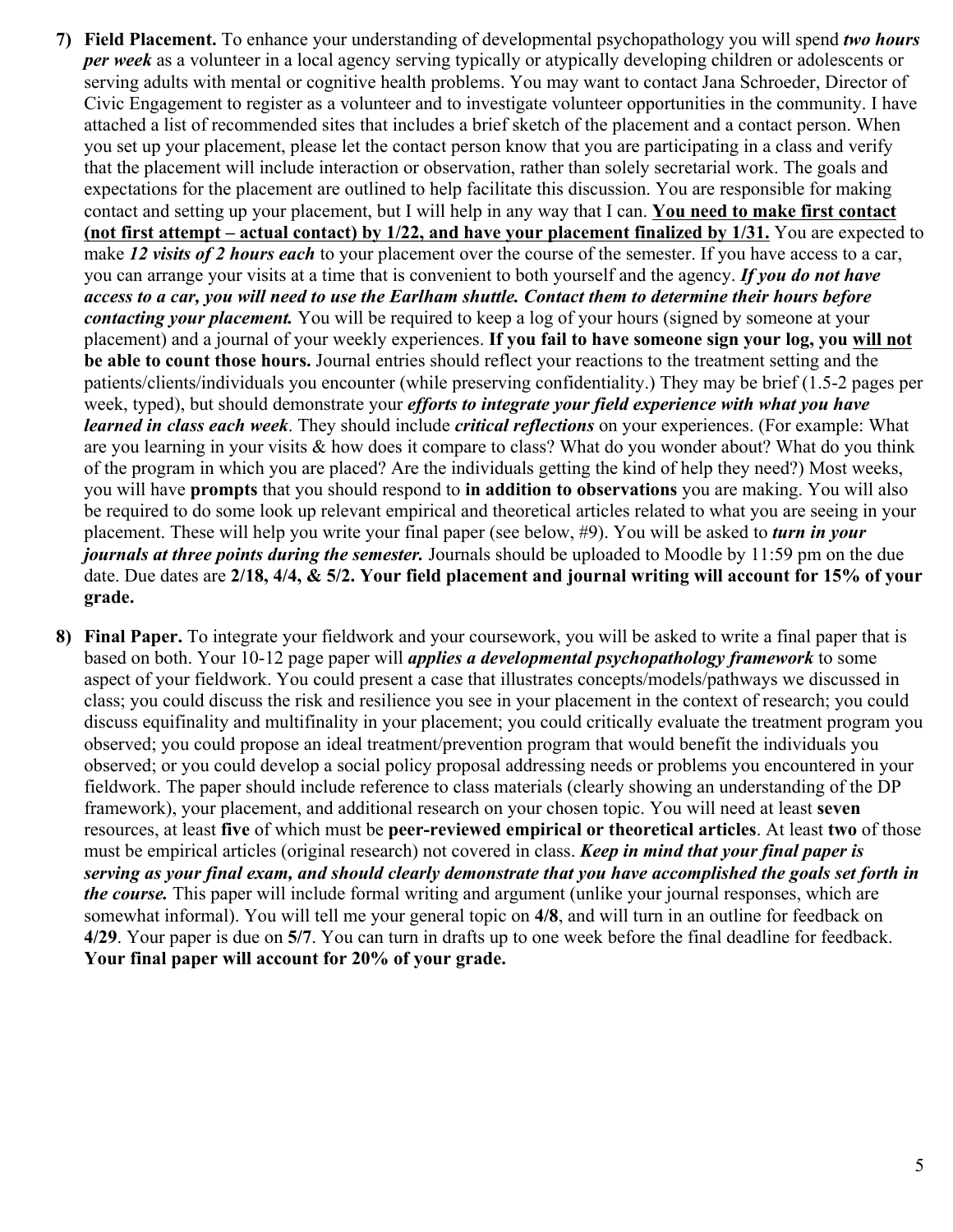- **7) Field Placement.** To enhance your understanding of developmental psychopathology you will spend *two hours per week* as a volunteer in a local agency serving typically or atypically developing children or adolescents or serving adults with mental or cognitive health problems. You may want to contact Jana Schroeder, Director of Civic Engagement to register as a volunteer and to investigate volunteer opportunities in the community. I have attached a list of recommended sites that includes a brief sketch of the placement and a contact person. When you set up your placement, please let the contact person know that you are participating in a class and verify that the placement will include interaction or observation, rather than solely secretarial work. The goals and expectations for the placement are outlined to help facilitate this discussion. You are responsible for making contact and setting up your placement, but I will help in any way that I can. **You need to make first contact (not first attempt – actual contact) by 1/22, and have your placement finalized by 1/31.** You are expected to make 12 visits of 2 hours each to your placement over the course of the semester. If you have access to a car, you can arrange your visits at a time that is convenient to both yourself and the agency. *If you do not have access to a car, you will need to use the Earlham shuttle. Contact them to determine their hours before contacting your placement.* You will be required to keep a log of your hours (signed by someone at your placement) and a journal of your weekly experiences. **If you fail to have someone sign your log, you will not be able to count those hours.** Journal entries should reflect your reactions to the treatment setting and the patients/clients/individuals you encounter (while preserving confidentiality.) They may be brief (1.5-2 pages per week, typed), but should demonstrate your *efforts to integrate your field experience with what you have learned in class each week*. They should include *critical reflections* on your experiences. (For example: What are you learning in your visits & how does it compare to class? What do you wonder about? What do you think of the program in which you are placed? Are the individuals getting the kind of help they need?) Most weeks, you will have **prompts** that you should respond to **in addition to observations** you are making. You will also be required to do some look up relevant empirical and theoretical articles related to what you are seeing in your placement. These will help you write your final paper (see below, #9). You will be asked to *turn in your journals at three points during the semester.* Journals should be uploaded to Moodle by 11:59 pm on the due date. Due dates are **2/18, 4/4, & 5/2. Your field placement and journal writing will account for 15% of your grade.**
- **8) Final Paper.** To integrate your fieldwork and your coursework, you will be asked to write a final paper that is based on both. Your 10-12 page paper will *applies a developmental psychopathology framework* to some aspect of your fieldwork. You could present a case that illustrates concepts/models/pathways we discussed in class; you could discuss the risk and resilience you see in your placement in the context of research; you could discuss equifinality and multifinality in your placement; you could critically evaluate the treatment program you observed; you could propose an ideal treatment/prevention program that would benefit the individuals you observed; or you could develop a social policy proposal addressing needs or problems you encountered in your fieldwork. The paper should include reference to class materials (clearly showing an understanding of the DP framework), your placement, and additional research on your chosen topic. You will need at least **seven**  resources, at least **five** of which must be **peer-reviewed empirical or theoretical articles**. At least **two** of those must be empirical articles (original research) not covered in class. *Keep in mind that your final paper is serving as your final exam, and should clearly demonstrate that you have accomplished the goals set forth in the course.* This paper will include formal writing and argument (unlike your journal responses, which are somewhat informal). You will tell me your general topic on **4/8**, and will turn in an outline for feedback on **4/29**. Your paper is due on **5/7**. You can turn in drafts up to one week before the final deadline for feedback. **Your final paper will account for 20% of your grade.**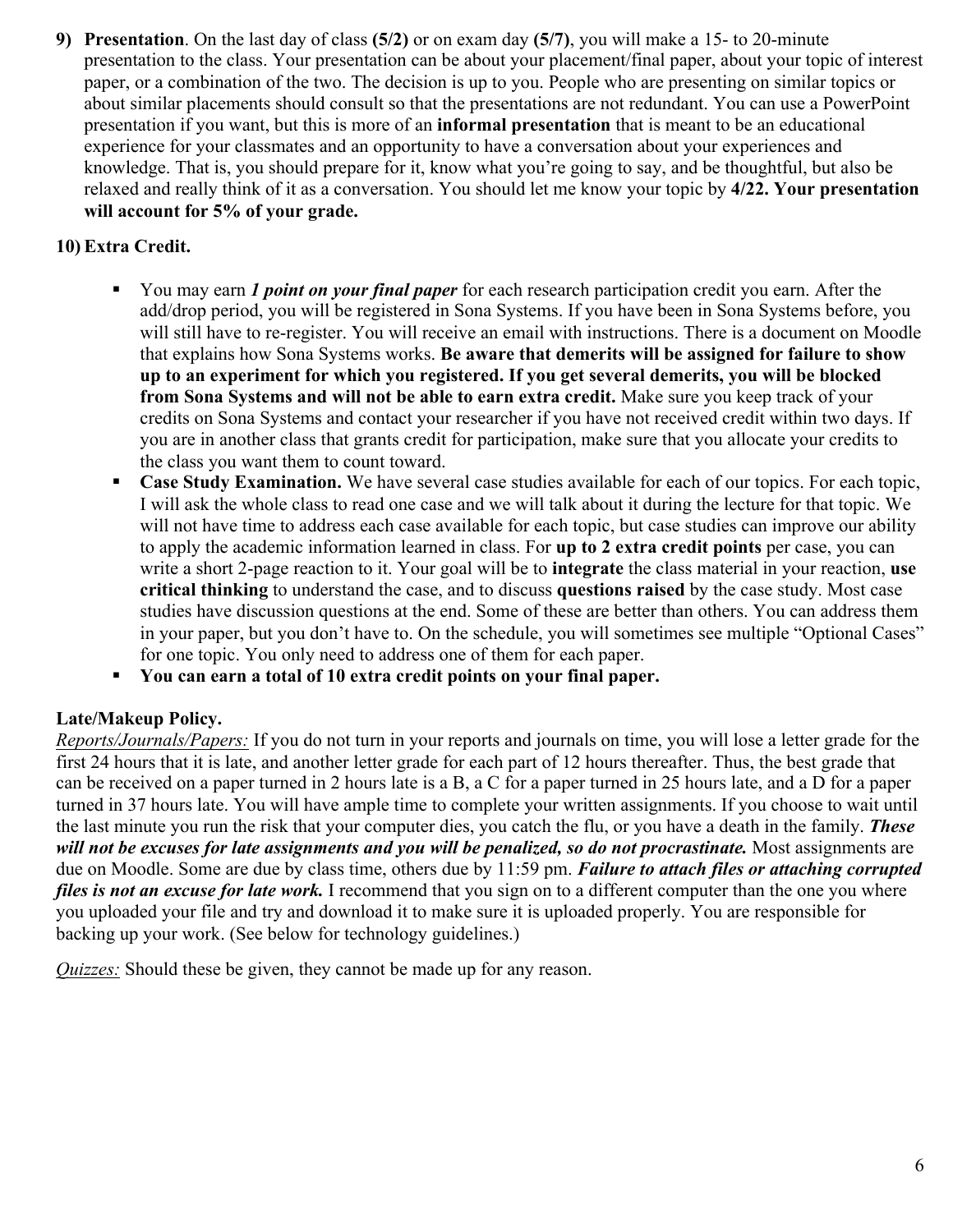**9) Presentation**. On the last day of class **(5/2)** or on exam day **(5/7)**, you will make a 15- to 20-minute presentation to the class. Your presentation can be about your placement/final paper, about your topic of interest paper, or a combination of the two. The decision is up to you. People who are presenting on similar topics or about similar placements should consult so that the presentations are not redundant. You can use a PowerPoint presentation if you want, but this is more of an **informal presentation** that is meant to be an educational experience for your classmates and an opportunity to have a conversation about your experiences and knowledge. That is, you should prepare for it, know what you're going to say, and be thoughtful, but also be relaxed and really think of it as a conversation. You should let me know your topic by **4/22. Your presentation will account for 5% of your grade.**

# **10) Extra Credit.**

- § You may earn *1 point on your final paper* for each research participation credit you earn. After the add/drop period, you will be registered in Sona Systems. If you have been in Sona Systems before, you will still have to re-register. You will receive an email with instructions. There is a document on Moodle that explains how Sona Systems works. **Be aware that demerits will be assigned for failure to show up to an experiment for which you registered. If you get several demerits, you will be blocked from Sona Systems and will not be able to earn extra credit.** Make sure you keep track of your credits on Sona Systems and contact your researcher if you have not received credit within two days. If you are in another class that grants credit for participation, make sure that you allocate your credits to the class you want them to count toward.
- **Case Study Examination.** We have several case studies available for each of our topics. For each topic, I will ask the whole class to read one case and we will talk about it during the lecture for that topic. We will not have time to address each case available for each topic, but case studies can improve our ability to apply the academic information learned in class. For **up to 2 extra credit points** per case, you can write a short 2-page reaction to it. Your goal will be to **integrate** the class material in your reaction, **use critical thinking** to understand the case, and to discuss **questions raised** by the case study. Most case studies have discussion questions at the end. Some of these are better than others. You can address them in your paper, but you don't have to. On the schedule, you will sometimes see multiple "Optional Cases" for one topic. You only need to address one of them for each paper.
- § **You can earn a total of 10 extra credit points on your final paper.**

# **Late/Makeup Policy.**

*Reports/Journals/Papers:* If you do not turn in your reports and journals on time, you will lose a letter grade for the first 24 hours that it is late, and another letter grade for each part of 12 hours thereafter. Thus, the best grade that can be received on a paper turned in 2 hours late is a B, a C for a paper turned in 25 hours late, and a D for a paper turned in 37 hours late. You will have ample time to complete your written assignments. If you choose to wait until the last minute you run the risk that your computer dies, you catch the flu, or you have a death in the family. *These will not be excuses for late assignments and you will be penalized, so do not procrastinate.* Most assignments are due on Moodle. Some are due by class time, others due by 11:59 pm. *Failure to attach files or attaching corrupted files is not an excuse for late work*. I recommend that you sign on to a different computer than the one you where you uploaded your file and try and download it to make sure it is uploaded properly. You are responsible for backing up your work. (See below for technology guidelines.)

*Quizzes:* Should these be given, they cannot be made up for any reason.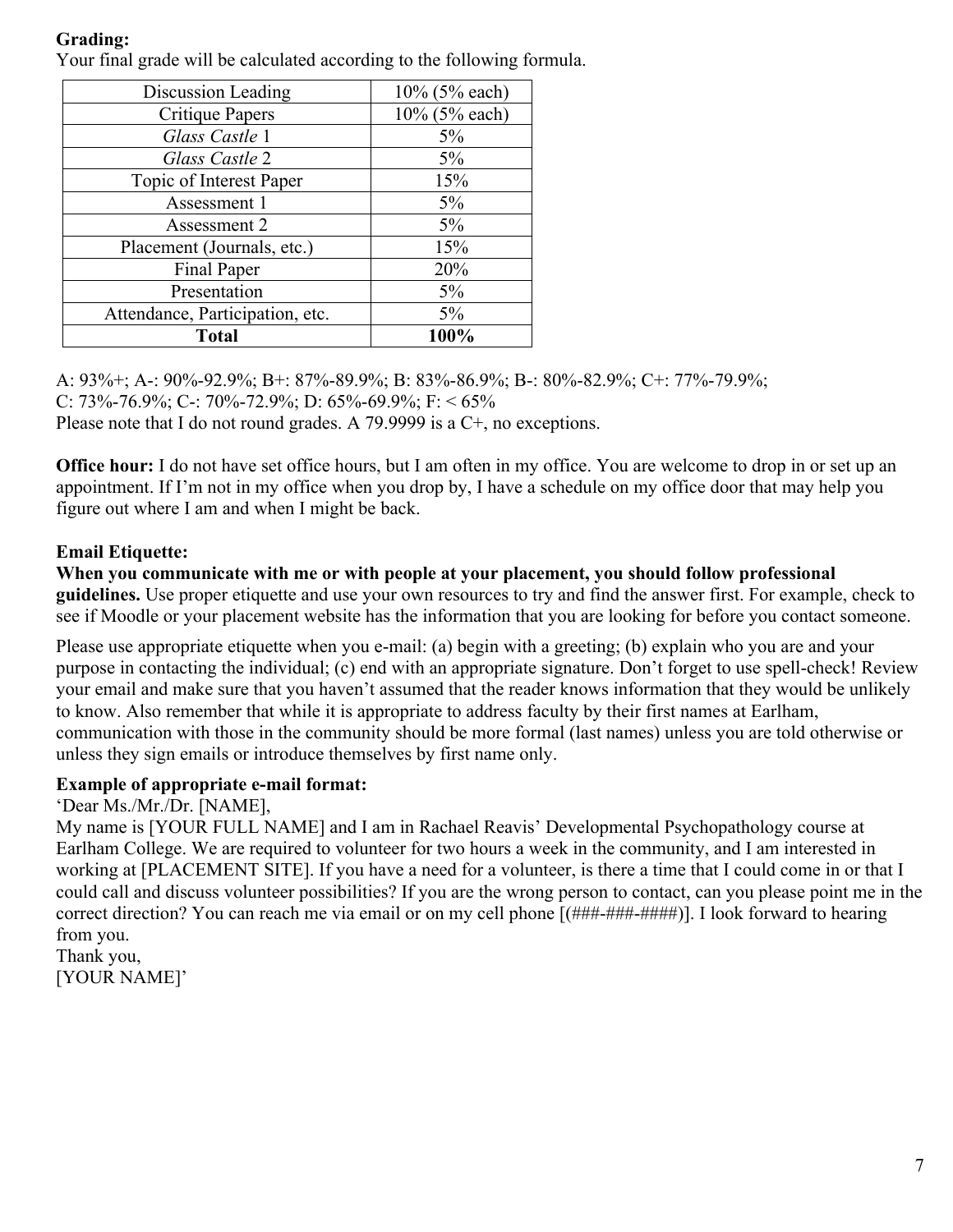# **Grading:**

Your final grade will be calculated according to the following formula.

| Discussion Leading              | 10% (5% each) |
|---------------------------------|---------------|
| Critique Papers                 | 10% (5% each) |
| Glass Castle 1                  | 5%            |
| Glass Castle 2                  | $5\%$         |
| Topic of Interest Paper         | 15%           |
| Assessment 1                    | 5%            |
| Assessment 2                    | $5\%$         |
| Placement (Journals, etc.)      | 15%           |
| Final Paper                     | 20%           |
| Presentation                    | 5%            |
| Attendance, Participation, etc. | $5\%$         |
| <b>Total</b>                    | 100%          |

A: 93%+; A-: 90%-92.9%; B+: 87%-89.9%; B: 83%-86.9%; B-: 80%-82.9%; C+: 77%-79.9%; C: 73%-76.9%; C-: 70%-72.9%; D: 65%-69.9%; F: < 65% Please note that I do not round grades. A 79.9999 is a C+, no exceptions.

**Office hour:** I do not have set office hours, but I am often in my office. You are welcome to drop in or set up an appointment. If I'm not in my office when you drop by, I have a schedule on my office door that may help you figure out where I am and when I might be back.

# **Email Etiquette:**

**When you communicate with me or with people at your placement, you should follow professional guidelines.** Use proper etiquette and use your own resources to try and find the answer first. For example, check to see if Moodle or your placement website has the information that you are looking for before you contact someone.

Please use appropriate etiquette when you e-mail: (a) begin with a greeting; (b) explain who you are and your purpose in contacting the individual; (c) end with an appropriate signature. Don't forget to use spell-check! Review your email and make sure that you haven't assumed that the reader knows information that they would be unlikely to know. Also remember that while it is appropriate to address faculty by their first names at Earlham, communication with those in the community should be more formal (last names) unless you are told otherwise or unless they sign emails or introduce themselves by first name only.

### **Example of appropriate e-mail format:**

'Dear Ms./Mr./Dr. [NAME],

My name is [YOUR FULL NAME] and I am in Rachael Reavis' Developmental Psychopathology course at Earlham College. We are required to volunteer for two hours a week in the community, and I am interested in working at [PLACEMENT SITE]. If you have a need for a volunteer, is there a time that I could come in or that I could call and discuss volunteer possibilities? If you are the wrong person to contact, can you please point me in the correct direction? You can reach me via email or on my cell phone  $[(\# \# \# \# \# \# \# \# \#])]$ . I look forward to hearing from you.

Thank you, [YOUR NAME]'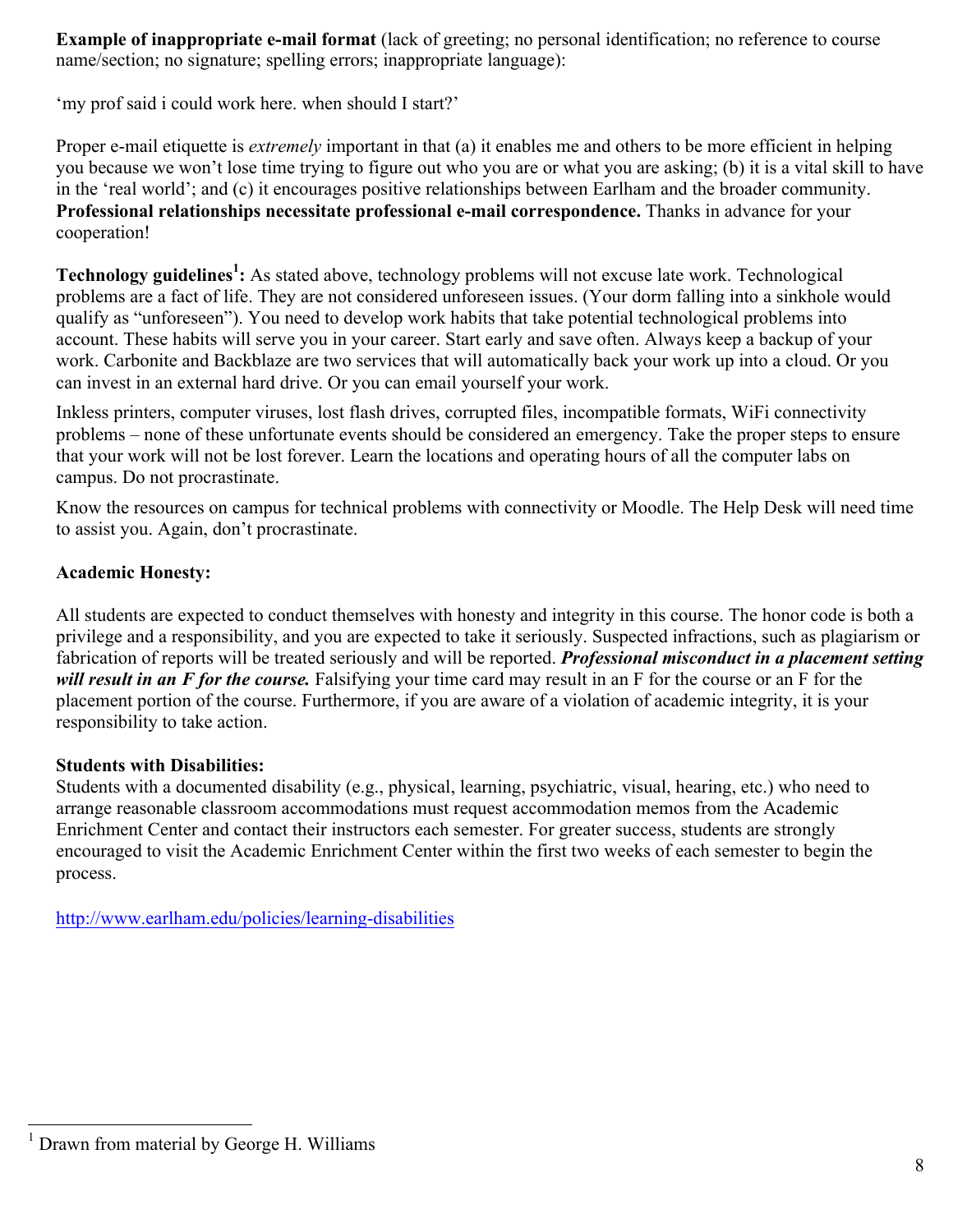**Example of inappropriate e-mail format** (lack of greeting; no personal identification; no reference to course name/section; no signature; spelling errors; inappropriate language):

'my prof said i could work here. when should I start?'

Proper e-mail etiquette is *extremely* important in that (a) it enables me and others to be more efficient in helping you because we won't lose time trying to figure out who you are or what you are asking; (b) it is a vital skill to have in the 'real world'; and (c) it encourages positive relationships between Earlham and the broader community. **Professional relationships necessitate professional e-mail correspondence.** Thanks in advance for your cooperation!

**Technology guidelines<sup>1</sup> :** As stated above, technology problems will not excuse late work. Technological problems are a fact of life. They are not considered unforeseen issues. (Your dorm falling into a sinkhole would qualify as "unforeseen"). You need to develop work habits that take potential technological problems into account. These habits will serve you in your career. Start early and save often. Always keep a backup of your work. Carbonite and Backblaze are two services that will automatically back your work up into a cloud. Or you can invest in an external hard drive. Or you can email yourself your work.

Inkless printers, computer viruses, lost flash drives, corrupted files, incompatible formats, WiFi connectivity problems – none of these unfortunate events should be considered an emergency. Take the proper steps to ensure that your work will not be lost forever. Learn the locations and operating hours of all the computer labs on campus. Do not procrastinate.

Know the resources on campus for technical problems with connectivity or Moodle. The Help Desk will need time to assist you. Again, don't procrastinate.

## **Academic Honesty:**

All students are expected to conduct themselves with honesty and integrity in this course. The honor code is both a privilege and a responsibility, and you are expected to take it seriously. Suspected infractions, such as plagiarism or fabrication of reports will be treated seriously and will be reported. *Professional misconduct in a placement setting will result in an F for the course.* Falsifying your time card may result in an F for the course or an F for the placement portion of the course. Furthermore, if you are aware of a violation of academic integrity, it is your responsibility to take action.

### **Students with Disabilities:**

Students with a documented disability (e.g., physical, learning, psychiatric, visual, hearing, etc.) who need to arrange reasonable classroom accommodations must request accommodation memos from the Academic Enrichment Center and contact their instructors each semester. For greater success, students are strongly encouraged to visit the Academic Enrichment Center within the first two weeks of each semester to begin the process.

http://www.earlham.edu/policies/learning-disabilities

 $<sup>1</sup>$  Drawn from material by George H. Williams</sup>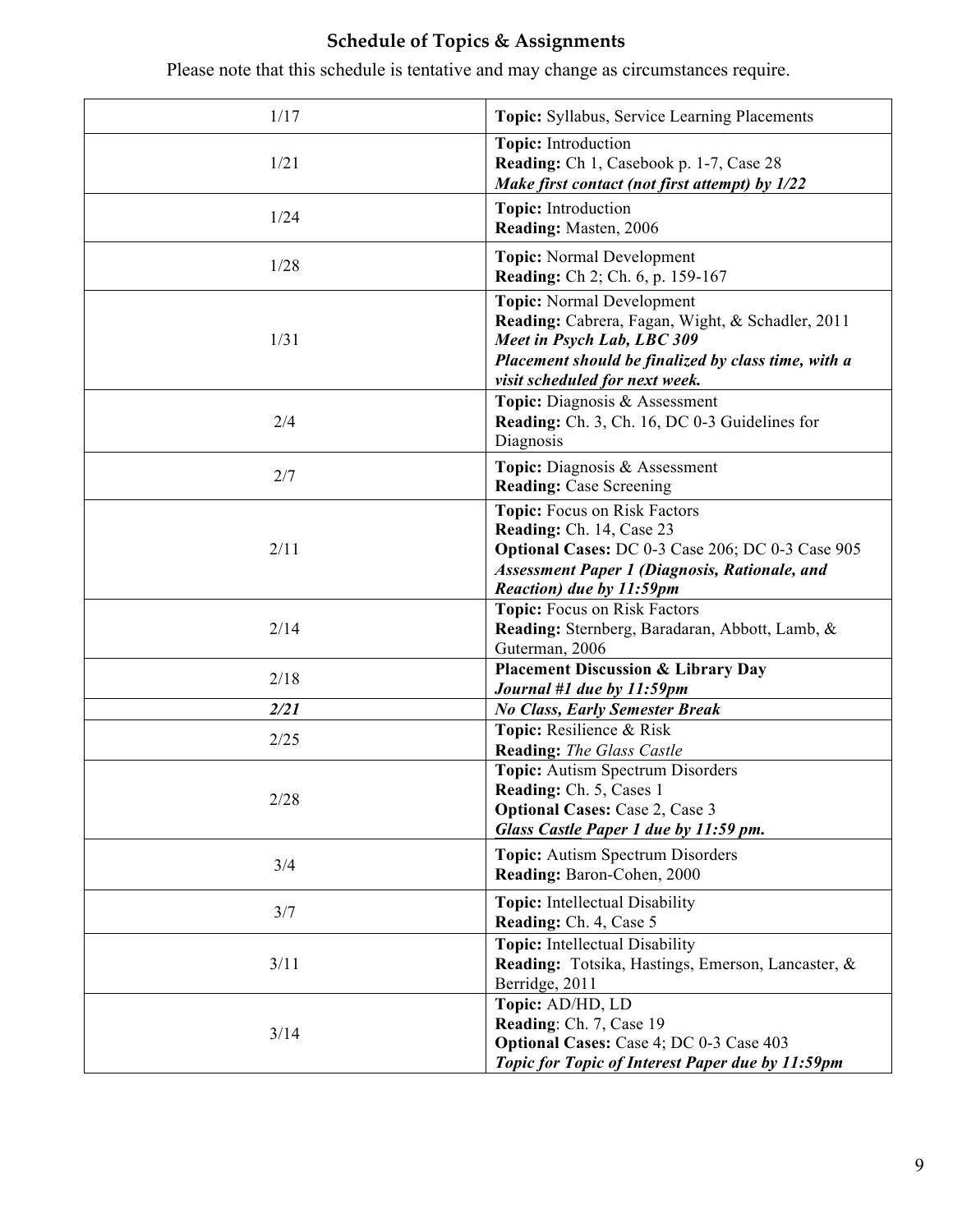# **Schedule of Topics & Assignments**

Please note that this schedule is tentative and may change as circumstances require.

| 1/17 | Topic: Syllabus, Service Learning Placements                                                                                                                                                                |
|------|-------------------------------------------------------------------------------------------------------------------------------------------------------------------------------------------------------------|
| 1/21 | <b>Topic:</b> Introduction<br>Reading: Ch 1, Casebook p. 1-7, Case 28<br>Make first contact (not first attempt) by 1/22                                                                                     |
| 1/24 | Topic: Introduction<br>Reading: Masten, 2006                                                                                                                                                                |
| 1/28 | <b>Topic:</b> Normal Development<br><b>Reading:</b> Ch 2; Ch. 6, p. 159-167                                                                                                                                 |
| 1/31 | <b>Topic:</b> Normal Development<br>Reading: Cabrera, Fagan, Wight, & Schadler, 2011<br>Meet in Psych Lab, LBC 309<br>Placement should be finalized by class time, with a<br>visit scheduled for next week. |
| 2/4  | Topic: Diagnosis & Assessment<br><b>Reading:</b> Ch. 3, Ch. 16, DC 0-3 Guidelines for<br>Diagnosis                                                                                                          |
| 2/7  | Topic: Diagnosis & Assessment<br><b>Reading: Case Screening</b>                                                                                                                                             |
| 2/11 | Topic: Focus on Risk Factors<br>Reading: Ch. 14, Case 23<br>Optional Cases: DC 0-3 Case 206; DC 0-3 Case 905<br><b>Assessment Paper 1 (Diagnosis, Rationale, and</b><br>Reaction) due by 11:59pm            |
| 2/14 | Topic: Focus on Risk Factors<br>Reading: Sternberg, Baradaran, Abbott, Lamb, &<br>Guterman, 2006                                                                                                            |
| 2/18 | <b>Placement Discussion &amp; Library Day</b><br>Journal #1 due by 11:59pm                                                                                                                                  |
| 2/21 | <b>No Class, Early Semester Break</b>                                                                                                                                                                       |
| 2/25 | Topic: Resilience & Risk<br><b>Reading:</b> The Glass Castle                                                                                                                                                |
| 2/28 | Topic: Autism Spectrum Disorders<br><b>Reading:</b> Ch. 5, Cases 1<br><b>Optional Cases: Case 2, Case 3</b><br>Glass Castle Paper 1 due by 11:59 pm.                                                        |
| 3/4  | <b>Topic:</b> Autism Spectrum Disorders<br>Reading: Baron-Cohen, 2000                                                                                                                                       |
| 3/7  | <b>Topic:</b> Intellectual Disability<br>Reading: Ch. 4, Case 5                                                                                                                                             |
| 3/11 | Topic: Intellectual Disability<br>Reading: Totsika, Hastings, Emerson, Lancaster, &<br>Berridge, 2011                                                                                                       |
| 3/14 | Topic: AD/HD, LD<br>Reading: Ch. 7, Case 19<br><b>Optional Cases: Case 4; DC 0-3 Case 403</b><br>Topic for Topic of Interest Paper due by 11:59pm                                                           |